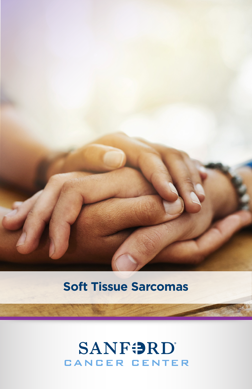

# **Soft Tissue Sarcomas**

# **SANFORD** CANCER CENTER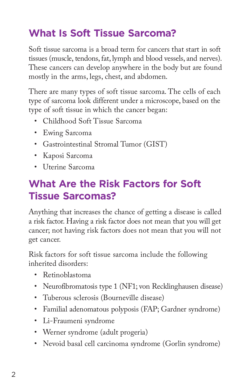## **What Is Soft Tissue Sarcoma?**

Soft tissue sarcoma is a broad term for cancers that start in soft tissues (muscle, tendons, fat, lymph and blood vessels, and nerves). These cancers can develop anywhere in the body but are found mostly in the arms, legs, chest, and abdomen.

There are many types of soft tissue sarcoma. The cells of each type of sarcoma look different under a microscope, based on the type of soft tissue in which the cancer began:

- Childhood Soft Tissue Sarcoma
- Ewing Sarcoma
- Gastrointestinal Stromal Tumor (GIST)
- Kaposi Sarcoma
- Uterine Sarcoma

#### **What Are the Risk Factors for Soft Tissue Sarcomas?**

Anything that increases the chance of getting a disease is called a risk factor. Having a risk factor does not mean that you will get cancer; not having risk factors does not mean that you will not get cancer.

Risk factors for soft tissue sarcoma include the following inherited disorders:

- Retinoblastoma
- Neurofibromatosis type 1 (NF1; von Recklinghausen disease)
- Tuberous sclerosis (Bourneville disease)
- Familial adenomatous polyposis (FAP; Gardner syndrome)
- Li-Fraumeni syndrome
- Werner syndrome (adult progeria)
- Nevoid basal cell carcinoma syndrome (Gorlin syndrome)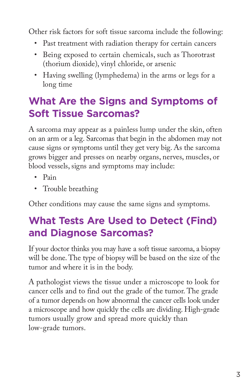Other risk factors for soft tissue sarcoma include the following:

- Past treatment with radiation therapy for certain cancers
- Being exposed to certain chemicals, such as Thorotrast (thorium dioxide), vinyl chloride, or arsenic
- Having swelling (lymphedema) in the arms or legs for a long time

### **What Are the Signs and Symptoms of Soft Tissue Sarcomas?**

A sarcoma may appear as a painless lump under the skin, often on an arm or a leg. Sarcomas that begin in the abdomen may not cause signs or symptoms until they get very big. As the sarcoma grows bigger and presses on nearby organs, nerves, muscles, or blood vessels, signs and symptoms may include:

- Pain
- Trouble breathing

Other conditions may cause the same signs and symptoms.

## **What Tests Are Used to Detect (Find) and Diagnose Sarcomas?**

If your doctor thinks you may have a soft tissue sarcoma, a biopsy will be done. The type of biopsy will be based on the size of the tumor and where it is in the body.

A pathologist views the tissue under a microscope to look for cancer cells and to find out the grade of the tumor. The grade of a tumor depends on how abnormal the cancer cells look under a microscope and how quickly the cells are dividing. High-grade tumors usually grow and spread more quickly than low-grade tumors.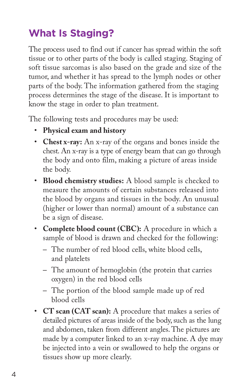# **What Is Staging?**

The process used to find out if cancer has spread within the soft tissue or to other parts of the body is called staging. Staging of soft tissue sarcomas is also based on the grade and size of the tumor, and whether it has spread to the lymph nodes or other parts of the body. The information gathered from the staging process determines the stage of the disease. It is important to know the stage in order to plan treatment.

The following tests and procedures may be used:

- **Physical exam and history**
- **Chest x-ray:** An x-ray of the organs and bones inside the chest. An x-ray is a type of energy beam that can go through the body and onto film, making a picture of areas inside the body.
- **Blood chemistry studies:** A blood sample is checked to measure the amounts of certain substances released into the blood by organs and tissues in the body. An unusual (higher or lower than normal) amount of a substance can be a sign of disease.
- **Complete blood count (CBC):** A procedure in which a sample of blood is drawn and checked for the following:
	- The number of red blood cells, white blood cells, and platelets
	- The amount of hemoglobin (the protein that carries oxygen) in the red blood cells
	- The portion of the blood sample made up of red blood cells
- **CT scan (CAT scan):** A procedure that makes a series of detailed pictures of areas inside of the body, such as the lung and abdomen, taken from different angles. The pictures are made by a computer linked to an x-ray machine. A dye may be injected into a vein or swallowed to help the organs or tissues show up more clearly.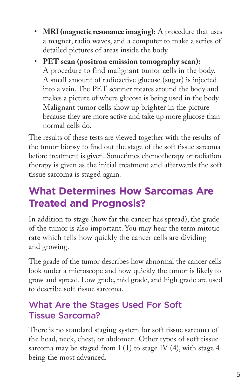- **MRI** (magnetic resonance imaging): A procedure that uses a magnet, radio waves, and a computer to make a series of detailed pictures of areas inside the body.
- **PET scan (positron emission tomography scan):** A procedure to find malignant tumor cells in the body. A small amount of radioactive glucose (sugar) is injected into a vein. The PET scanner rotates around the body and makes a picture of where glucose is being used in the body. Malignant tumor cells show up brighter in the picture because they are more active and take up more glucose than normal cells do.

The results of these tests are viewed together with the results of the tumor biopsy to find out the stage of the soft tissue sarcoma before treatment is given. Sometimes chemotherapy or radiation therapy is given as the initial treatment and afterwards the soft tissue sarcoma is staged again.

### **What Determines How Sarcomas Are Treated and Prognosis?**

In addition to stage (how far the cancer has spread), the grade of the tumor is also important. You may hear the term mitotic rate which tells how quickly the cancer cells are dividing and growing.

The grade of the tumor describes how abnormal the cancer cells look under a microscope and how quickly the tumor is likely to grow and spread. Low grade, mid grade, and high grade are used to describe soft tissue sarcoma.

#### What Are the Stages Used For Soft Tissue Sarcoma?

There is no standard staging system for soft tissue sarcoma of the head, neck, chest, or abdomen. Other types of soft tissue sarcoma may be staged from I  $(1)$  to stage IV  $(4)$ , with stage 4 being the most advanced.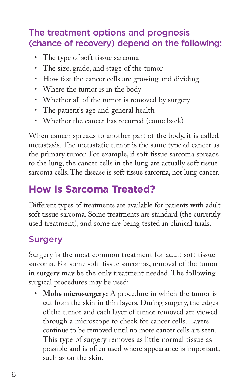#### The treatment options and prognosis (chance of recovery) depend on the following:

- The type of soft tissue sarcoma
- The size, grade, and stage of the tumor
- How fast the cancer cells are growing and dividing
- Where the tumor is in the body
- Whether all of the tumor is removed by surgery
- The patient's age and general health
- Whether the cancer has recurred (come back)

When cancer spreads to another part of the body, it is called metastasis. The metastatic tumor is the same type of cancer as the primary tumor. For example, if soft tissue sarcoma spreads to the lung, the cancer cells in the lung are actually soft tissue sarcoma cells. The disease is soft tissue sarcoma, not lung cancer.

### **How Is Sarcoma Treated?**

Different types of treatments are available for patients with adult soft tissue sarcoma. Some treatments are standard (the currently used treatment), and some are being tested in clinical trials.

#### **Surgery**

Surgery is the most common treatment for adult soft tissue sarcoma. For some soft-tissue sarcomas, removal of the tumor in surgery may be the only treatment needed. The following surgical procedures may be used:

• **Mohs microsurgery:** A procedure in which the tumor is cut from the skin in thin layers. During surgery, the edges of the tumor and each layer of tumor removed are viewed through a microscope to check for cancer cells. Layers continue to be removed until no more cancer cells are seen. This type of surgery removes as little normal tissue as possible and is often used where appearance is important, such as on the skin.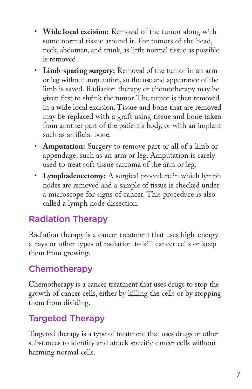- **Wide local excision:** Removal of the tumor along with some normal tissue around it. For tumors of the head, neck, abdomen, and trunk, as little normal tissue as possible is removed.
- **Limb-sparing surgery:** Removal of the tumor in an arm or leg without amputation, so the use and appearance of the limb is saved. Radiation therapy or chemotherapy may be given first to shrink the tumor. The tumor is then removed in a wide local excision. Tissue and bone that are removed may be replaced with a graft using tissue and bone taken from another part of the patient's body, or with an implant such as artificial bone.
- **Amputation:** Surgery to remove part or all of a limb or appendage, such as an arm or leg. Amputation is rarely used to treat soft tissue sarcoma of the arm or leg.
- **Lymphadenectomy:** A surgical procedure in which lymph nodes are removed and a sample of tissue is checked under a microscope for signs of cancer. This procedure is also called a lymph node dissection.

#### Radiation Therapy

Radiation therapy is a cancer treatment that uses high-energy x-rays or other types of radiation to kill cancer cells or keep them from growing.

#### **Chemotherapy**

Chemotherapy is a cancer treatment that uses drugs to stop the growth of cancer cells, either by killing the cells or by stopping them from dividing.

#### Targeted Therapy

Targeted therapy is a type of treatment that uses drugs or other substances to identify and attack specific cancer cells without harming normal cells.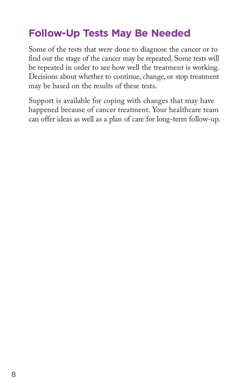### **Follow-Up Tests May Be Needed**

Some of the tests that were done to diagnose the cancer or to find out the stage of the cancer may be repeated. Some tests will be repeated in order to see how well the treatment is working. Decisions about whether to continue, change, or stop treatment may be based on the results of these tests.

Support is available for coping with changes that may have happened because of cancer treatment. Your healthcare team can offer ideas as well as a plan of care for long-term follow-up.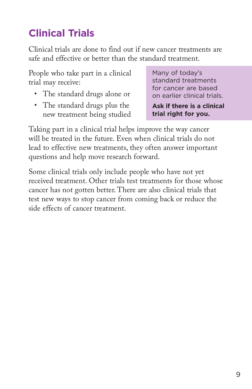# **Clinical Trials**

Clinical trials are done to find out if new cancer treatments are safe and effective or better than the standard treatment.

People who take part in a clinical trial may receive:

- The standard drugs alone or
- The standard drugs plus the new treatment being studied

Many of today's standard treatments for cancer are based on earlier clinical trials.

**Ask if there is a clinical trial right for you.**

Taking part in a clinical trial helps improve the way cancer will be treated in the future. Even when clinical trials do not lead to effective new treatments, they often answer important questions and help move research forward.

Some clinical trials only include people who have not yet received treatment. Other trials test treatments for those whose cancer has not gotten better. There are also clinical trials that test new ways to stop cancer from coming back or reduce the side effects of cancer treatment.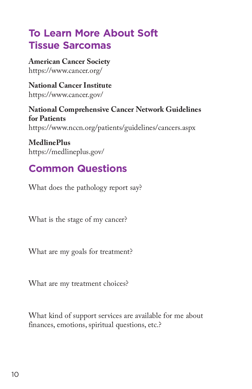#### **To Learn More About Soft Tissue Sarcomas**

**American Cancer Society** https://www.cancer.org/

**National Cancer Institute** https://www.cancer.gov/

**National Comprehensive Cancer Network Guidelines for Patients** https://www.nccn.org/patients/guidelines/cancers.aspx

**MedlinePlus** https://medlineplus.gov/

### **Common Questions**

What does the pathology report say?

What is the stage of my cancer?

What are my goals for treatment?

What are my treatment choices?

What kind of support services are available for me about finances, emotions, spiritual questions, etc.?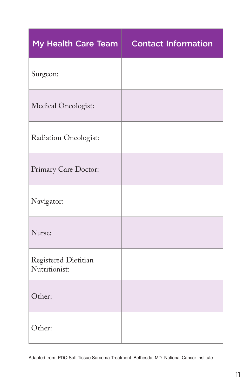| My Health Care Team                   | <b>Contact Information</b> |
|---------------------------------------|----------------------------|
| Surgeon:                              |                            |
| Medical Oncologist:                   |                            |
| Radiation Oncologist:                 |                            |
| Primary Care Doctor:                  |                            |
| Navigator:                            |                            |
| Nurse:                                |                            |
| Registered Dietitian<br>Nutritionist: |                            |
| Other:                                |                            |
| Other:                                |                            |

Adapted from: PDQ Soft Tissue Sarcoma Treatment. Bethesda, MD: National Cancer Institute.